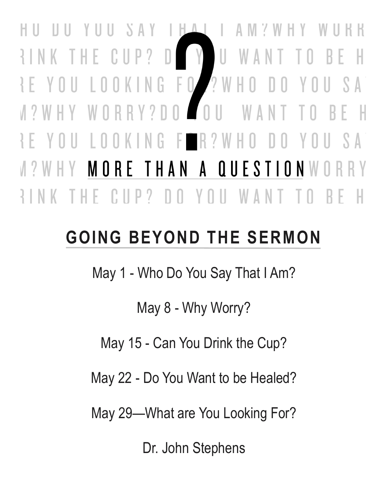$H$ H U Ш SAY  $AM<sub>2</sub>$ HY. U WAN  $CUP?$ RINK -THE D BEH Ш FO ? WHO KING S A  $\prod$ Ш Ш  $\bigcap$ RRY?DO **WA** W  $\overline{\phantom{a}}$ KING R ? W H O YOU S A Ł 1. U U Ш Ш - 11 THAN  $\mathbf{A}$ QUESTIONW MORE  $\mathbb{IP}$ ? n yn ll W Ш  $\mathbb{\Lambda}$ 

# **GOING BEYOND THE SERMON**

May 1 - Who Do You Say That I Am?

May 8 - Why Worry?

May 15 - Can You Drink the Cup?

May 22 - Do You Want to be Healed?

May 29—What are You Looking For?

Dr. John Stephens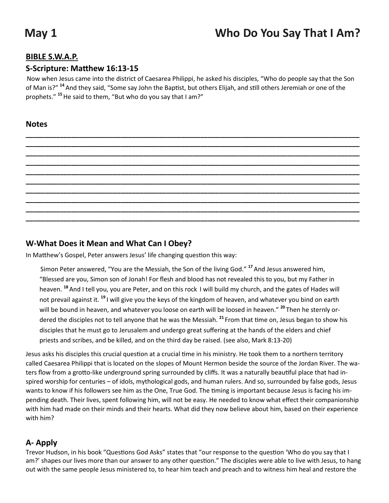# **May 1 Who Do You Say That I Am?**

#### **BIBLE S.W.A.P.**

#### **S-Scripture: Matthew 16:13-15**

Now when Jesus came into the district of Caesarea Philippi, he asked his disciples, "Who do people say that the Son of Man is?" **<sup>14</sup>** And they said, "Some say John the Baptist, but others Elijah, and still others Jeremiah or one of the prophets." **<sup>15</sup>**He said to them, "But who do you say that I am?"

**\_\_\_\_\_\_\_\_\_\_\_\_\_\_\_\_\_\_\_\_\_\_\_\_\_\_\_\_\_\_\_\_\_\_\_\_\_\_\_\_\_\_\_\_\_\_\_\_\_\_\_\_\_\_\_\_\_\_\_\_\_\_\_\_\_\_\_\_\_\_\_\_\_\_\_\_\_\_\_\_\_\_\_\_\_\_\_\_ \_\_\_\_\_\_\_\_\_\_\_\_\_\_\_\_\_\_\_\_\_\_\_\_\_\_\_\_\_\_\_\_\_\_\_\_\_\_\_\_\_\_\_\_\_\_\_\_\_\_\_\_\_\_\_\_\_\_\_\_\_\_\_\_\_\_\_\_\_\_\_\_\_\_\_\_\_\_\_\_\_\_\_\_\_\_\_\_ \_\_\_\_\_\_\_\_\_\_\_\_\_\_\_\_\_\_\_\_\_\_\_\_\_\_\_\_\_\_\_\_\_\_\_\_\_\_\_\_\_\_\_\_\_\_\_\_\_\_\_\_\_\_\_\_\_\_\_\_\_\_\_\_\_\_\_\_\_\_\_\_\_\_\_\_\_\_\_\_\_\_\_\_\_\_\_\_ \_\_\_\_\_\_\_\_\_\_\_\_\_\_\_\_\_\_\_\_\_\_\_\_\_\_\_\_\_\_\_\_\_\_\_\_\_\_\_\_\_\_\_\_\_\_\_\_\_\_\_\_\_\_\_\_\_\_\_\_\_\_\_\_\_\_\_\_\_\_\_\_\_\_\_\_\_\_\_\_\_\_\_\_\_\_\_\_ \_\_\_\_\_\_\_\_\_\_\_\_\_\_\_\_\_\_\_\_\_\_\_\_\_\_\_\_\_\_\_\_\_\_\_\_\_\_\_\_\_\_\_\_\_\_\_\_\_\_\_\_\_\_\_\_\_\_\_\_\_\_\_\_\_\_\_\_\_\_\_\_\_\_\_\_\_\_\_\_\_\_\_\_\_\_\_\_ \_\_\_\_\_\_\_\_\_\_\_\_\_\_\_\_\_\_\_\_\_\_\_\_\_\_\_\_\_\_\_\_\_\_\_\_\_\_\_\_\_\_\_\_\_\_\_\_\_\_\_\_\_\_\_\_\_\_\_\_\_\_\_\_\_\_\_\_\_\_\_\_\_\_\_\_\_\_\_\_\_\_\_\_\_\_\_\_ \_\_\_\_\_\_\_\_\_\_\_\_\_\_\_\_\_\_\_\_\_\_\_\_\_\_\_\_\_\_\_\_\_\_\_\_\_\_\_\_\_\_\_\_\_\_\_\_\_\_\_\_\_\_\_\_\_\_\_\_\_\_\_\_\_\_\_\_\_\_\_\_\_\_\_\_\_\_\_\_\_\_\_\_\_\_\_\_ \_\_\_\_\_\_\_\_\_\_\_\_\_\_\_\_\_\_\_\_\_\_\_\_\_\_\_\_\_\_\_\_\_\_\_\_\_\_\_\_\_\_\_\_\_\_\_\_\_\_\_\_\_\_\_\_\_\_\_\_\_\_\_\_\_\_\_\_\_\_\_\_\_\_\_\_\_\_\_\_\_\_\_\_\_\_\_\_ \_\_\_\_\_\_\_\_\_\_\_\_\_\_\_\_\_\_\_\_\_\_\_\_\_\_\_\_\_\_\_\_\_\_\_\_\_\_\_\_\_\_\_\_\_\_\_\_\_\_\_\_\_\_\_\_\_\_\_\_\_\_\_\_\_\_\_\_\_\_\_\_\_\_\_\_\_\_\_\_\_\_\_\_\_\_\_\_ \_\_\_\_\_\_\_\_\_\_\_\_\_\_\_\_\_\_\_\_\_\_\_\_\_\_\_\_\_\_\_\_\_\_\_\_\_\_\_\_\_\_\_\_\_\_\_\_\_\_\_\_\_\_\_\_\_\_\_\_\_\_\_\_\_\_\_\_\_\_\_\_\_\_\_\_\_\_\_\_\_\_\_\_\_\_\_\_**

#### **Notes**

#### **W-What Does it Mean and What Can I Obey?**

In Matthew's Gospel, Peter answers Jesus' life changing question this way:

Simon Peter answered, "You are the Messiah, the Son of the living God." **<sup>17</sup>** And Jesus answered him, "Blessed are you, Simon son of Jonah! For flesh and blood has not revealed this to you, but my Father in heaven. **<sup>18</sup>** And I tell you, you are Peter, and on this rock I will build my church, and the gates of Hades will not prevail against it. **<sup>19</sup>** I will give you the keys of the kingdom of heaven, and whatever you bind on earth will be bound in heaven, and whatever you loose on earth will be loosed in heaven." **<sup>20</sup>** Then he sternly ordered the disciples not to tell anyone that he was the Messiah. **<sup>21</sup>** From that time on, Jesus began to show his disciples that he must go to Jerusalem and undergo great suffering at the hands of the elders and chief priests and scribes, and be killed, and on the third day be raised. (see also, Mark 8:13-20)

Jesus asks his disciples this crucial question at a crucial time in his ministry. He took them to a northern territory called Caesarea Philippi that is located on the slopes of Mount Hermon beside the source of the Jordan River. The waters flow from a grotto-like underground spring surrounded by cliffs. It was a naturally beautiful place that had inspired worship for centuries – of idols, mythological gods, and human rulers. And so, surrounded by false gods, Jesus wants to know if his followers see him as the One, True God. The timing is important because Jesus is facing his impending death. Their lives, spent following him, will not be easy. He needed to know what effect their companionship with him had made on their minds and their hearts. What did they now believe about him, based on their experience with him?

#### **A- Apply**

Trevor Hudson, in his book "Questions God Asks" states that "our response to the question 'Who do you say that I am?' shapes our lives more than our answer to any other question." The disciples were able to live with Jesus, to hang out with the same people Jesus ministered to, to hear him teach and preach and to witness him heal and restore the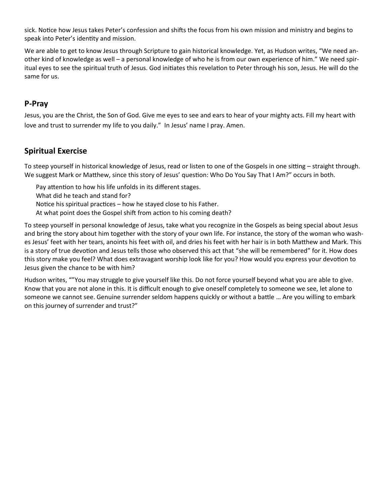sick. Notice how Jesus takes Peter's confession and shifts the focus from his own mission and ministry and begins to speak into Peter's identity and mission.

We are able to get to know Jesus through Scripture to gain historical knowledge. Yet, as Hudson writes, "We need another kind of knowledge as well – a personal knowledge of who he is from our own experience of him." We need spiritual eyes to see the spiritual truth of Jesus. God initiates this revelation to Peter through his son, Jesus. He will do the same for us.

#### **P-Pray**

Jesus, you are the Christ, the Son of God. Give me eyes to see and ears to hear of your mighty acts. Fill my heart with love and trust to surrender my life to you daily." In Jesus' name I pray. Amen.

#### **Spiritual Exercise**

To steep yourself in historical knowledge of Jesus, read or listen to one of the Gospels in one sitting – straight through. We suggest Mark or Matthew, since this story of Jesus' question: Who Do You Say That I Am?" occurs in both.

- Pay attention to how his life unfolds in its different stages.
- What did he teach and stand for?
- Notice his spiritual practices how he stayed close to his Father.
- At what point does the Gospel shift from action to his coming death?

To steep yourself in personal knowledge of Jesus, take what you recognize in the Gospels as being special about Jesus and bring the story about him together with the story of your own life. For instance, the story of the woman who washes Jesus' feet with her tears, anoints his feet with oil, and dries his feet with her hair is in both Matthew and Mark. This is a story of true devotion and Jesus tells those who observed this act that "she will be remembered" for it. How does this story make you feel? What does extravagant worship look like for you? How would you express your devotion to Jesus given the chance to be with him?

Hudson writes, ""You may struggle to give yourself like this. Do not force yourself beyond what you are able to give. Know that you are not alone in this. It is difficult enough to give oneself completely to someone we see, let alone to someone we cannot see. Genuine surrender seldom happens quickly or without a battle … Are you willing to embark on this journey of surrender and trust?"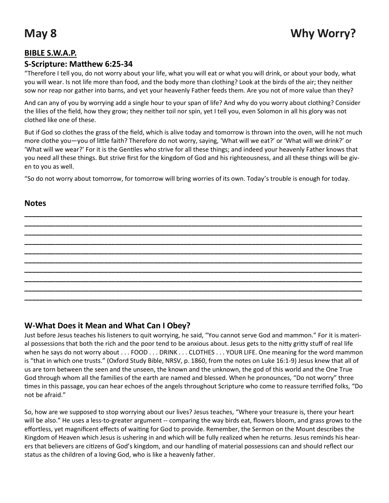#### **BIBLE S.W.A.P.**

#### **S-Scripture: Matthew 6:25-34**

"Therefore I tell you, do not worry about your life, what you will eat or what you will drink, or about your body, what you will wear. Is not life more than food, and the body more than clothing? Look at the birds of the air; they neither sow nor reap nor gather into barns, and yet your heavenly Father feeds them. Are you not of more value than they?

And can any of you by worrying add a single hour to your span of life? And why do you worry about clothing? Consider the lilies of the field, how they grow; they neither toil nor spin, yet I tell you, even Solomon in all his glory was not clothed like one of these.

But if God so clothes the grass of the field, which is alive today and tomorrow is thrown into the oven, will he not much more clothe you—you of little faith? Therefore do not worry, saying, 'What will we eat?' or 'What will we drink?' or 'What will we wear?' For it is the Gentiles who strive for all these things; and indeed your heavenly Father knows that you need all these things. But strive first for the kingdom of God and his righteousness, and all these things will be given to you as well.

"So do not worry about tomorrow, for tomorrow will bring worries of its own. Today's trouble is enough for today.

**\_\_\_\_\_\_\_\_\_\_\_\_\_\_\_\_\_\_\_\_\_\_\_\_\_\_\_\_\_\_\_\_\_\_\_\_\_\_\_\_\_\_\_\_\_\_\_\_\_\_\_\_\_\_\_\_\_\_\_\_\_\_\_\_\_\_\_\_\_\_\_\_\_\_\_\_\_\_\_\_\_\_\_\_\_\_\_\_\_ \_\_\_\_\_\_\_\_\_\_\_\_\_\_\_\_\_\_\_\_\_\_\_\_\_\_\_\_\_\_\_\_\_\_\_\_\_\_\_\_\_\_\_\_\_\_\_\_\_\_\_\_\_\_\_\_\_\_\_\_\_\_\_\_\_\_\_\_\_\_\_\_\_\_\_\_\_\_\_\_\_\_\_\_\_\_\_\_\_ \_\_\_\_\_\_\_\_\_\_\_\_\_\_\_\_\_\_\_\_\_\_\_\_\_\_\_\_\_\_\_\_\_\_\_\_\_\_\_\_\_\_\_\_\_\_\_\_\_\_\_\_\_\_\_\_\_\_\_\_\_\_\_\_\_\_\_\_\_\_\_\_\_\_\_\_\_\_\_\_\_\_\_\_\_\_\_\_\_ \_\_\_\_\_\_\_\_\_\_\_\_\_\_\_\_\_\_\_\_\_\_\_\_\_\_\_\_\_\_\_\_\_\_\_\_\_\_\_\_\_\_\_\_\_\_\_\_\_\_\_\_\_\_\_\_\_\_\_\_\_\_\_\_\_\_\_\_\_\_\_\_\_\_\_\_\_\_\_\_\_\_\_\_\_\_\_\_\_ \_\_\_\_\_\_\_\_\_\_\_\_\_\_\_\_\_\_\_\_\_\_\_\_\_\_\_\_\_\_\_\_\_\_\_\_\_\_\_\_\_\_\_\_\_\_\_\_\_\_\_\_\_\_\_\_\_\_\_\_\_\_\_\_\_\_\_\_\_\_\_\_\_\_\_\_\_\_\_\_\_\_\_\_\_\_\_\_\_ \_\_\_\_\_\_\_\_\_\_\_\_\_\_\_\_\_\_\_\_\_\_\_\_\_\_\_\_\_\_\_\_\_\_\_\_\_\_\_\_\_\_\_\_\_\_\_\_\_\_\_\_\_\_\_\_\_\_\_\_\_\_\_\_\_\_\_\_\_\_\_\_\_\_\_\_\_\_\_\_\_\_\_\_\_\_\_\_\_ \_\_\_\_\_\_\_\_\_\_\_\_\_\_\_\_\_\_\_\_\_\_\_\_\_\_\_\_\_\_\_\_\_\_\_\_\_\_\_\_\_\_\_\_\_\_\_\_\_\_\_\_\_\_\_\_\_\_\_\_\_\_\_\_\_\_\_\_\_\_\_\_\_\_\_\_\_\_\_\_\_\_\_\_\_\_\_\_\_ \_\_\_\_\_\_\_\_\_\_\_\_\_\_\_\_\_\_\_\_\_\_\_\_\_\_\_\_\_\_\_\_\_\_\_\_\_\_\_\_\_\_\_\_\_\_\_\_\_\_\_\_\_\_\_\_\_\_\_\_\_\_\_\_\_\_\_\_\_\_\_\_\_\_\_\_\_\_\_\_\_\_\_\_\_\_\_\_\_ \_\_\_\_\_\_\_\_\_\_\_\_\_\_\_\_\_\_\_\_\_\_\_\_\_\_\_\_\_\_\_\_\_\_\_\_\_\_\_\_\_\_\_\_\_\_\_\_\_\_\_\_\_\_\_\_\_\_\_\_\_\_\_\_\_\_\_\_\_\_\_\_\_\_\_\_\_\_\_\_\_\_\_\_\_\_\_\_\_ \_\_\_\_\_\_\_\_\_\_\_\_\_\_\_\_\_\_\_\_\_\_\_\_\_\_\_\_\_\_\_\_\_\_\_\_\_\_\_\_\_\_\_\_\_\_\_\_\_\_\_\_\_\_\_\_\_\_\_\_\_\_\_\_\_\_\_\_\_\_\_\_\_\_\_\_\_\_\_\_\_\_\_\_\_\_\_\_\_**

#### **Notes**

#### **W-What Does it Mean and What Can I Obey?**

Just before Jesus teaches his listeners to quit worrying, he said, "You cannot serve God and mammon." For it is material possessions that both the rich and the poor tend to be anxious about. Jesus gets to the nitty gritty stuff of real life when he says do not worry about . . . FOOD . . . DRINK . . . CLOTHES . . . YOUR LIFE. One meaning for the word mammon is "that in which one trusts." (Oxford Study Bible, NRSV, p. 1860, from the notes on Luke 16:1-9) Jesus knew that all of us are torn between the seen and the unseen, the known and the unknown, the god of this world and the One True God through whom all the families of the earth are named and blessed. When he pronounces, "Do not worry" three times in this passage, you can hear echoes of the angels throughout Scripture who come to reassure terrified folks, "Do not be afraid."

So, how are we supposed to stop worrying about our lives? Jesus teaches, "Where your treasure is, there your heart will be also." He uses a less-to-greater argument -- comparing the way birds eat, flowers bloom, and grass grows to the effortless, yet magnificent effects of waiting for God to provide. Remember, the Sermon on the Mount describes the Kingdom of Heaven which Jesus is ushering in and which will be fully realized when he returns. Jesus reminds his hearers that believers are citizens of God's kingdom, and our handling of material possessions can and should reflect our status as the children of a loving God, who is like a heavenly father.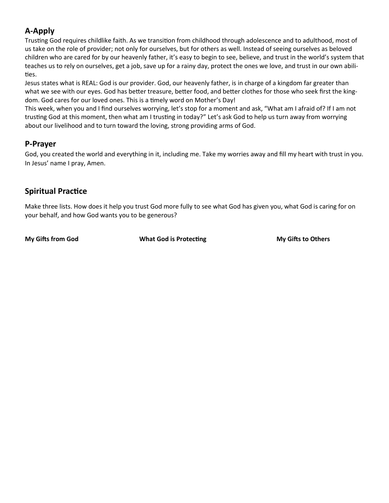### **A-Apply**

Trusting God requires childlike faith. As we transition from childhood through adolescence and to adulthood, most of us take on the role of provider; not only for ourselves, but for others as well. Instead of seeing ourselves as beloved children who are cared for by our heavenly father, it's easy to begin to see, believe, and trust in the world's system that teaches us to rely on ourselves, get a job, save up for a rainy day, protect the ones we love, and trust in our own abilities.

Jesus states what is REAL: God is our provider. God, our heavenly father, is in charge of a kingdom far greater than what we see with our eyes. God has better treasure, better food, and better clothes for those who seek first the kingdom. God cares for our loved ones. This is a timely word on Mother's Day!

This week, when you and I find ourselves worrying, let's stop for a moment and ask, "What am I afraid of? If I am not trusting God at this moment, then what am I trusting in today?" Let's ask God to help us turn away from worrying about our livelihood and to turn toward the loving, strong providing arms of God.

### **P-Prayer**

God, you created the world and everything in it, including me. Take my worries away and fill my heart with trust in you. In Jesus' name I pray, Amen.

### **Spiritual Practice**

Make three lists. How does it help you trust God more fully to see what God has given you, what God is caring for on your behalf, and how God wants you to be generous?

**My Gifts from God <b>What God is Protecting** My Gifts to Others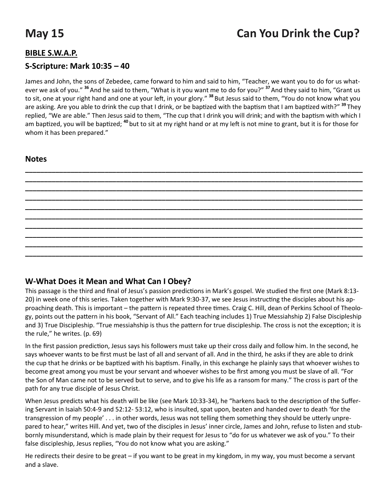#### **BIBLE S.W.A.P.**

#### **S-Scripture: Mark 10:35 – 40**

James and John, the sons of Zebedee, came forward to him and said to him, "Teacher, we want you to do for us whatever we ask of you." **<sup>36</sup>**And he said to them, "What is it you want me to do for you?" **<sup>37</sup>**And they said to him, "Grant us to sit, one at your right hand and one at your left, in your glory." **<sup>38</sup>** But Jesus said to them, "You do not know what you are asking. Are you able to drink the cup that I drink, or be baptized with the baptism that I am baptized with?" **<sup>39</sup>** They replied, "We are able." Then Jesus said to them, "The cup that I drink you will drink; and with the baptism with which I am baptized, you will be baptized; **<sup>40</sup>** but to sit at my right hand or at my left is not mine to grant, but it is for those for whom it has been prepared."

#### **Notes**



#### **W-What Does it Mean and What Can I Obey?**

This passage is the third and final of Jesus's passion predictions in Mark's gospel. We studied the first one (Mark 8:13- 20) in week one of this series. Taken together with Mark 9:30-37, we see Jesus instructing the disciples about his approaching death. This is important – the pattern is repeated three times. Craig C. Hill, dean of Perkins School of Theology, points out the pattern in his book, "Servant of All." Each teaching includes 1) True Messiahship 2) False Discipleship and 3) True Discipleship. "True messiahship is thus the pattern for true discipleship. The cross is not the exception; it is the rule," he writes. (p. 69)

In the first passion prediction, Jesus says his followers must take up their cross daily and follow him. In the second, he says whoever wants to be first must be last of all and servant of all. And in the third, he asks if they are able to drink the cup that he drinks or be baptized with his baptism. Finally, in this exchange he plainly says that whoever wishes to become great among you must be your servant and whoever wishes to be first among you must be slave of all. "For the Son of Man came not to be served but to serve, and to give his life as a ransom for many." The cross is part of the path for any true disciple of Jesus Christ.

When Jesus predicts what his death will be like (see Mark 10:33-34), he "harkens back to the description of the Suffering Servant in Isaiah 50:4-9 and 52:12- 53:12, who is insulted, spat upon, beaten and handed over to death 'for the transgression of my people' . . . in other words, Jesus was not telling them something they should be utterly unprepared to hear," writes Hill. And yet, two of the disciples in Jesus' inner circle, James and John, refuse to listen and stubbornly misunderstand, which is made plain by their request for Jesus to "do for us whatever we ask of you." To their false discipleship, Jesus replies, "You do not know what you are asking."

He redirects their desire to be great – if you want to be great in my kingdom, in my way, you must become a servant and a slave.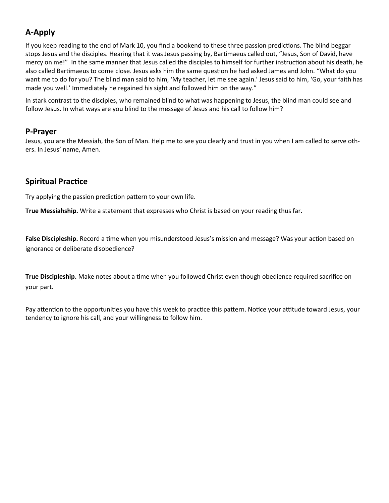### **A-Apply**

If you keep reading to the end of Mark 10, you find a bookend to these three passion predictions. The blind beggar stops Jesus and the disciples. Hearing that it was Jesus passing by, Bartimaeus called out, "Jesus, Son of David, have mercy on me!" In the same manner that Jesus called the disciples to himself for further instruction about his death, he also called Bartimaeus to come close. Jesus asks him the same question he had asked James and John. "What do you want me to do for you? The blind man said to him, 'My teacher, let me see again.' Jesus said to him, 'Go, your faith has made you well.' Immediately he regained his sight and followed him on the way."

In stark contrast to the disciples, who remained blind to what was happening to Jesus, the blind man could see and follow Jesus. In what ways are you blind to the message of Jesus and his call to follow him?

#### **P-Prayer**

Jesus, you are the Messiah, the Son of Man. Help me to see you clearly and trust in you when I am called to serve others. In Jesus' name, Amen.

#### **Spiritual Practice**

Try applying the passion prediction pattern to your own life.

**True Messiahship.** Write a statement that expresses who Christ is based on your reading thus far.

**False Discipleship.** Record a time when you misunderstood Jesus's mission and message? Was your action based on ignorance or deliberate disobedience?

**True Discipleship.** Make notes about a time when you followed Christ even though obedience required sacrifice on your part.

Pay attention to the opportunities you have this week to practice this pattern. Notice your attitude toward Jesus, your tendency to ignore his call, and your willingness to follow him.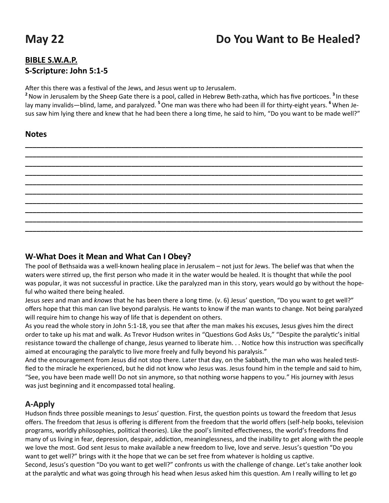# **May 22 Do You Want to Be Healed?**

### **BIBLE S.W.A.P. S-Scripture: John 5:1-5**

After this there was a festival of the Jews, and Jesus went up to Jerusalem.

**<sup>2</sup>**Now in Jerusalem by the Sheep Gate there is a pool, called in Hebrew Beth-zatha, which has five porticoes. **<sup>3</sup>** In these lay many invalids—blind, lame, and paralyzed. **<sup>5</sup>**One man was there who had been ill for thirty-eight years. **<sup>6</sup>**When Jesus saw him lying there and knew that he had been there a long time, he said to him, "Do you want to be made well?"

**\_\_\_\_\_\_\_\_\_\_\_\_\_\_\_\_\_\_\_\_\_\_\_\_\_\_\_\_\_\_\_\_\_\_\_\_\_\_\_\_\_\_\_\_\_\_\_\_\_\_\_\_\_\_\_\_\_\_\_\_\_\_\_\_\_\_\_\_\_\_\_\_\_\_\_\_\_\_\_\_\_\_\_\_\_\_\_\_\_ \_\_\_\_\_\_\_\_\_\_\_\_\_\_\_\_\_\_\_\_\_\_\_\_\_\_\_\_\_\_\_\_\_\_\_\_\_\_\_\_\_\_\_\_\_\_\_\_\_\_\_\_\_\_\_\_\_\_\_\_\_\_\_\_\_\_\_\_\_\_\_\_\_\_\_\_\_\_\_\_\_\_\_\_\_\_\_\_\_ \_\_\_\_\_\_\_\_\_\_\_\_\_\_\_\_\_\_\_\_\_\_\_\_\_\_\_\_\_\_\_\_\_\_\_\_\_\_\_\_\_\_\_\_\_\_\_\_\_\_\_\_\_\_\_\_\_\_\_\_\_\_\_\_\_\_\_\_\_\_\_\_\_\_\_\_\_\_\_\_\_\_\_\_\_\_\_\_\_ \_\_\_\_\_\_\_\_\_\_\_\_\_\_\_\_\_\_\_\_\_\_\_\_\_\_\_\_\_\_\_\_\_\_\_\_\_\_\_\_\_\_\_\_\_\_\_\_\_\_\_\_\_\_\_\_\_\_\_\_\_\_\_\_\_\_\_\_\_\_\_\_\_\_\_\_\_\_\_\_\_\_\_\_\_\_\_\_\_ \_\_\_\_\_\_\_\_\_\_\_\_\_\_\_\_\_\_\_\_\_\_\_\_\_\_\_\_\_\_\_\_\_\_\_\_\_\_\_\_\_\_\_\_\_\_\_\_\_\_\_\_\_\_\_\_\_\_\_\_\_\_\_\_\_\_\_\_\_\_\_\_\_\_\_\_\_\_\_\_\_\_\_\_\_\_\_\_\_ \_\_\_\_\_\_\_\_\_\_\_\_\_\_\_\_\_\_\_\_\_\_\_\_\_\_\_\_\_\_\_\_\_\_\_\_\_\_\_\_\_\_\_\_\_\_\_\_\_\_\_\_\_\_\_\_\_\_\_\_\_\_\_\_\_\_\_\_\_\_\_\_\_\_\_\_\_\_\_\_\_\_\_\_\_\_\_\_\_ \_\_\_\_\_\_\_\_\_\_\_\_\_\_\_\_\_\_\_\_\_\_\_\_\_\_\_\_\_\_\_\_\_\_\_\_\_\_\_\_\_\_\_\_\_\_\_\_\_\_\_\_\_\_\_\_\_\_\_\_\_\_\_\_\_\_\_\_\_\_\_\_\_\_\_\_\_\_\_\_\_\_\_\_\_\_\_\_\_ \_\_\_\_\_\_\_\_\_\_\_\_\_\_\_\_\_\_\_\_\_\_\_\_\_\_\_\_\_\_\_\_\_\_\_\_\_\_\_\_\_\_\_\_\_\_\_\_\_\_\_\_\_\_\_\_\_\_\_\_\_\_\_\_\_\_\_\_\_\_\_\_\_\_\_\_\_\_\_\_\_\_\_\_\_\_\_\_\_ \_\_\_\_\_\_\_\_\_\_\_\_\_\_\_\_\_\_\_\_\_\_\_\_\_\_\_\_\_\_\_\_\_\_\_\_\_\_\_\_\_\_\_\_\_\_\_\_\_\_\_\_\_\_\_\_\_\_\_\_\_\_\_\_\_\_\_\_\_\_\_\_\_\_\_\_\_\_\_\_\_\_\_\_\_\_\_\_\_ \_\_\_\_\_\_\_\_\_\_\_\_\_\_\_\_\_\_\_\_\_\_\_\_\_\_\_\_\_\_\_\_\_\_\_\_\_\_\_\_\_\_\_\_\_\_\_\_\_\_\_\_\_\_\_\_\_\_\_\_\_\_\_\_\_\_\_\_\_\_\_\_\_\_\_\_\_\_\_\_\_\_\_\_\_\_\_\_\_**

#### **Notes**

#### **W-What Does it Mean and What Can I Obey?**

The pool of Bethsaida was a well-known healing place in Jerusalem – not just for Jews. The belief was that when the waters were stirred up, the first person who made it in the water would be healed. It is thought that while the pool was popular, it was not successful in practice. Like the paralyzed man in this story, years would go by without the hopeful who waited there being healed.

Jesus *sees* and man and *knows* that he has been there a long time. (v. 6) Jesus' question, "Do you want to get well?" offers hope that this man can live beyond paralysis. He wants to know if the man wants to change. Not being paralyzed will require him to change his way of life that is dependent on others.

As you read the whole story in John 5:1-18, you see that after the man makes his excuses, Jesus gives him the direct order to take up his mat and walk. As Trevor Hudson writes in "Questions God Asks Us," "Despite the paralytic's initial resistance toward the challenge of change, Jesus yearned to liberate him. . . Notice how this instruction was specifically aimed at encouraging the paralytic to live more freely and fully beyond his paralysis."

And the encouragement from Jesus did not stop there. Later that day, on the Sabbath, the man who was healed testified to the miracle he experienced, but he did not know who Jesus was. Jesus found him in the temple and said to him, "See, you have been made well! Do not sin anymore, so that nothing worse happens to you." His journey with Jesus was just beginning and it encompassed total healing.

#### **A-Apply**

Hudson finds three possible meanings to Jesus' question. First, the question points us toward the freedom that Jesus offers. The freedom that Jesus is offering is different from the freedom that the world offers (self-help books, television programs, worldly philosophies, political theories). Like the pool's limited effectiveness, the world's freedoms find many of us living in fear, depression, despair, addiction, meaninglessness, and the inability to get along with the people we love the most. God sent Jesus to make available a new freedom to live, love and serve. Jesus's question "Do you want to get well?" brings with it the hope that we can be set free from whatever is holding us captive. Second, Jesus's question "Do you want to get well?" confronts us with the challenge of change. Let's take another look at the paralytic and what was going through his head when Jesus asked him this question. Am I really willing to let go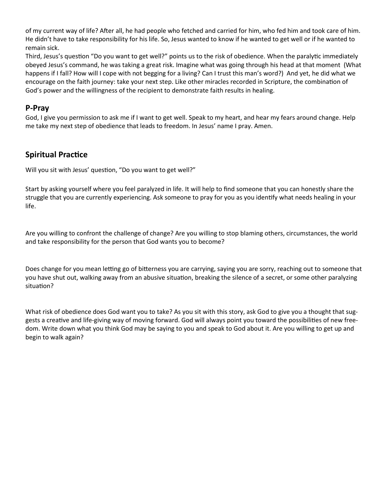of my current way of life? After all, he had people who fetched and carried for him, who fed him and took care of him. He didn't have to take responsibility for his life. So, Jesus wanted to know if he wanted to get well or if he wanted to remain sick.

Third, Jesus's question "Do you want to get well?" points us to the risk of obedience. When the paralytic immediately obeyed Jesus's command, he was taking a great risk. Imagine what was going through his head at that moment (What happens if I fall? How will I cope with not begging for a living? Can I trust this man's word?) And yet, he did what we encourage on the faith journey: take your next step. Like other miracles recorded in Scripture, the combination of God's power and the willingness of the recipient to demonstrate faith results in healing.

#### **P-Pray**

God, I give you permission to ask me if I want to get well. Speak to my heart, and hear my fears around change. Help me take my next step of obedience that leads to freedom. In Jesus' name I pray. Amen.

#### **Spiritual Practice**

Will you sit with Jesus' question, "Do you want to get well?"

Start by asking yourself where you feel paralyzed in life. It will help to find someone that you can honestly share the struggle that you are currently experiencing. Ask someone to pray for you as you identify what needs healing in your life.

Are you willing to confront the challenge of change? Are you willing to stop blaming others, circumstances, the world and take responsibility for the person that God wants you to become?

Does change for you mean letting go of bitterness you are carrying, saying you are sorry, reaching out to someone that you have shut out, walking away from an abusive situation, breaking the silence of a secret, or some other paralyzing situation?

What risk of obedience does God want you to take? As you sit with this story, ask God to give you a thought that suggests a creative and life-giving way of moving forward. God will always point you toward the possibilities of new freedom. Write down what you think God may be saying to you and speak to God about it. Are you willing to get up and begin to walk again?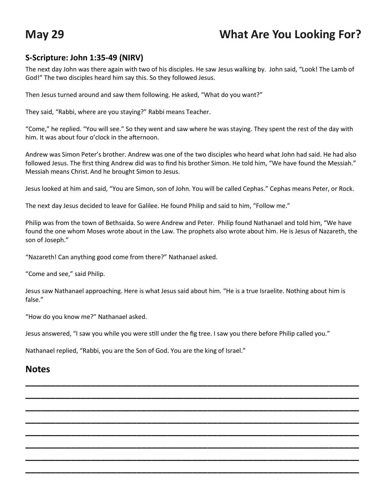## **May 29 What Are You Looking For?**

#### **S-Scripture: John 1:35-49 (NIRV)**

The next day John was there again with two of his disciples. He saw Jesus walking by. John said, "Look! The Lamb of God!" The two disciples heard him say this. So they followed Jesus.

Then Jesus turned around and saw them following. He asked, "What do you want?"

They said, "Rabbi, where are you staying?" Rabbi means Teacher.

"Come," he replied. "You will see." So they went and saw where he was staying. They spent the rest of the day with him. It was about four o'clock in the afternoon.

Andrew was Simon Peter's brother. Andrew was one of the two disciples who heard what John had said. He had also followed Jesus. The first thing Andrew did was to find his brother Simon. He told him, "We have found the Messiah." Messiah means Christ.And he brought Simon to Jesus.

Jesus looked at him and said, "You are Simon, son of John. You will be called Cephas." Cephas means Peter, or Rock.

The next day Jesus decided to leave for Galilee. He found Philip and said to him, "Follow me."

Philip was from the town of Bethsaida. So were Andrew and Peter. Philip found Nathanael and told him, "We have found the one whom Moses wrote about in the Law. The prophets also wrote about him. He is Jesus of Nazareth, the son of Joseph."

"Nazareth! Can anything good come from there?" Nathanael asked.

"Come and see," said Philip.

Jesus saw Nathanael approaching. Here is what Jesus said about him. "He is a true Israelite. Nothing about him is false."

**\_\_\_\_\_\_\_\_\_\_\_\_\_\_\_\_\_\_\_\_\_\_\_\_\_\_\_\_\_\_\_\_\_\_\_\_\_\_\_\_\_\_\_\_\_\_\_\_\_\_\_\_\_\_\_\_\_\_\_\_\_\_\_\_\_\_ \_\_\_\_\_\_\_\_\_\_\_\_\_\_\_\_\_\_\_\_\_\_\_\_\_\_\_\_\_\_\_\_\_\_\_\_\_\_\_\_\_\_\_\_\_\_\_\_\_\_\_\_\_\_\_\_\_\_\_\_\_\_\_\_\_\_ \_\_\_\_\_\_\_\_\_\_\_\_\_\_\_\_\_\_\_\_\_\_\_\_\_\_\_\_\_\_\_\_\_\_\_\_\_\_\_\_\_\_\_\_\_\_\_\_\_\_\_\_\_\_\_\_\_\_\_\_\_\_\_\_\_\_ \_\_\_\_\_\_\_\_\_\_\_\_\_\_\_\_\_\_\_\_\_\_\_\_\_\_\_\_\_\_\_\_\_\_\_\_\_\_\_\_\_\_\_\_\_\_\_\_\_\_\_\_\_\_\_\_\_\_\_\_\_\_\_\_\_\_ \_\_\_\_\_\_\_\_\_\_\_\_\_\_\_\_\_\_\_\_\_\_\_\_\_\_\_\_\_\_\_\_\_\_\_\_\_\_\_\_\_\_\_\_\_\_\_\_\_\_\_\_\_\_\_\_\_\_\_\_\_\_\_\_\_\_ \_\_\_\_\_\_\_\_\_\_\_\_\_\_\_\_\_\_\_\_\_\_\_\_\_\_\_\_\_\_\_\_\_\_\_\_\_\_\_\_\_\_\_\_\_\_\_\_\_\_\_\_\_\_\_\_\_\_\_\_\_\_\_\_\_\_ \_\_\_\_\_\_\_\_\_\_\_\_\_\_\_\_\_\_\_\_\_\_\_\_\_\_\_\_\_\_\_\_\_\_\_\_\_\_\_\_\_\_\_\_\_\_\_\_\_\_\_\_\_\_\_\_\_\_\_\_\_\_\_\_\_\_ \_\_\_\_\_\_\_\_\_\_\_\_\_\_\_\_\_\_\_\_\_\_\_\_\_\_\_\_\_\_\_\_\_\_\_\_\_\_\_\_\_\_\_\_\_\_\_\_\_\_\_\_\_\_\_\_\_\_\_\_\_\_\_\_\_\_**

"How do you know me?" Nathanael asked.

Jesus answered, "I saw you while you were still under the fig tree. I saw you there before Philip called you."

Nathanael replied, "Rabbi, you are the Son of God. You are the king of Israel."

#### **Notes**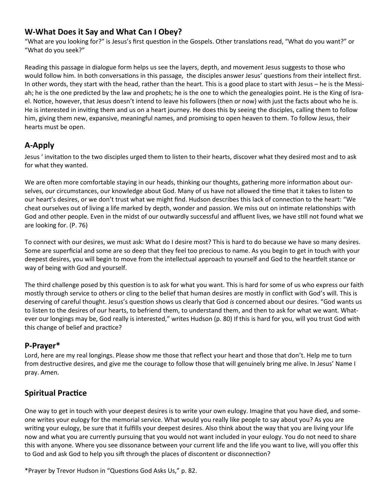#### **W-What Does it Say and What Can I Obey?**

"What are you looking for?" is Jesus's first question in the Gospels. Other translations read, "What do you want?" or "What do you seek?"

Reading this passage in dialogue form helps us see the layers, depth, and movement Jesus suggests to those who would follow him. In both conversations in this passage, the disciples answer Jesus' questions from their intellect first. In other words, they start with the head, rather than the heart. This is a good place to start with Jesus – he is the Messiah; he is the one predicted by the law and prophets; he is the one to which the genealogies point. He is the King of Israel. Notice, however, that Jesus doesn't intend to leave his followers (then or now) with just the facts about who he is. He is interested in inviting them and us on a heart journey. He does this by seeing the disciples, calling them to follow him, giving them new, expansive, meaningful names, and promising to open heaven to them. To follow Jesus, their hearts must be open.

#### **A-Apply**

Jesus ' invitation to the two disciples urged them to listen to their hearts, discover what they desired most and to ask for what they wanted.

We are often more comfortable staying in our heads, thinking our thoughts, gathering more information about ourselves, our circumstances, our knowledge about God. Many of us have not allowed the time that it takes to listen to our heart's desires, or we don't trust what we might find. Hudson describes this lack of connection to the heart: "We cheat ourselves out of living a life marked by depth, wonder and passion. We miss out on intimate relationships with God and other people. Even in the midst of our outwardly successful and affluent lives, we have still not found what we are looking for. (P. 76)

To connect with our desires, we must ask: What do I desire most? This is hard to do because we have so many desires. Some are superficial and some are so deep that they feel too precious to name. As you begin to get in touch with your deepest desires, you will begin to move from the intellectual approach to yourself and God to the heartfelt stance or way of being with God and yourself.

The third challenge posed by this question is to ask for what you want. This is hard for some of us who express our faith mostly through service to others or cling to the belief that human desires are mostly in conflict with God's will. This is deserving of careful thought. Jesus's question shows us clearly that God *is* concerned about our desires. "God wants us to listen to the desires of our hearts, to befriend them, to understand them, and then to ask for what we want. Whatever our longings may be, God really is interested," writes Hudson (p. 80) If this is hard for you, will you trust God with this change of belief and practice?

#### **P-Prayer\***

Lord, here are my real longings. Please show me those that reflect your heart and those that don't. Help me to turn from destructive desires, and give me the courage to follow those that will genuinely bring me alive. In Jesus' Name I pray. Amen.

#### **Spiritual Practice**

One way to get in touch with your deepest desires is to write your own eulogy. Imagine that you have died, and someone writes your eulogy for the memorial service. What would you really like people to say about you? As you are writing your eulogy, be sure that it fulfills your deepest desires. Also think about the way that you are living your life now and what you are currently pursuing that you would not want included in your eulogy. You do not need to share this with anyone. Where you see dissonance between your current life and the life you want to live, will you offer this to God and ask God to help you sift through the places of discontent or disconnection?

\*Prayer by Trevor Hudson in "Questions God Asks Us," p. 82.